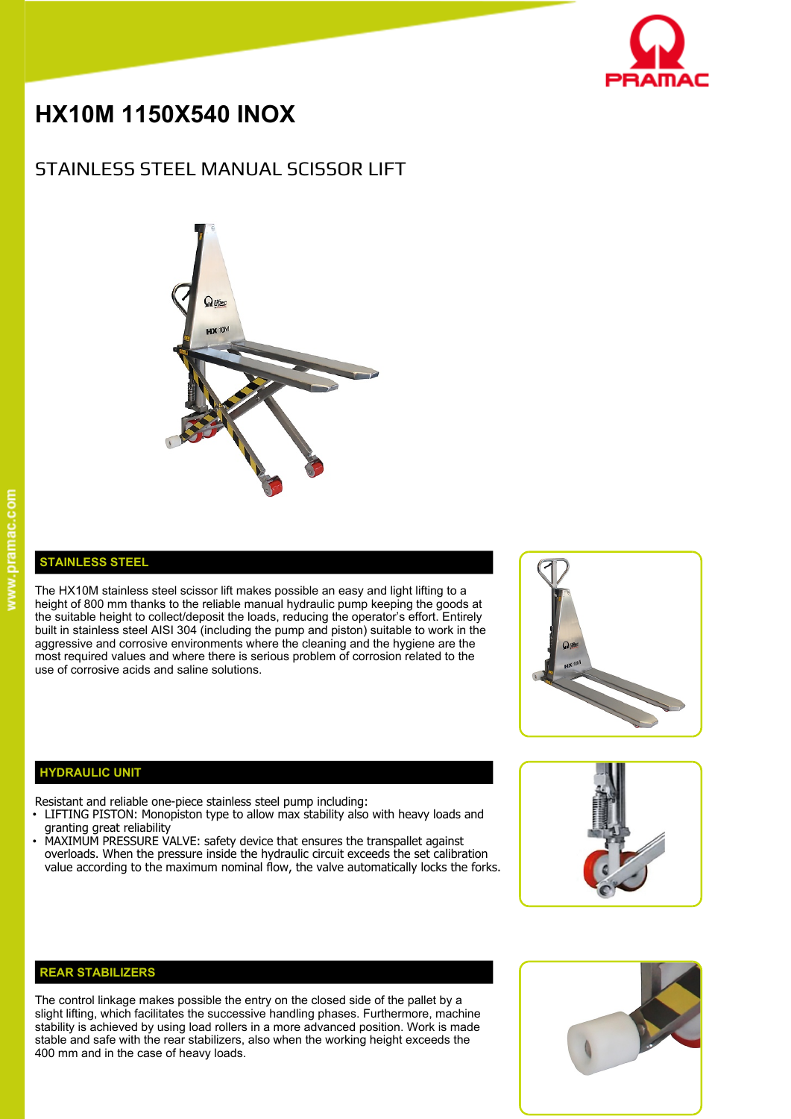

# **HX10M 1150X540 INOX**

# STAINLESS STEEL MANUAL SCISSOR LIFT



### **STAINLESS STEEL**

The HX10M stainless steel scissor lift makes possible an easy and light lifting to a height of 800 mm thanks to the reliable manual hydraulic pump keeping the goods at the suitable height to collect/deposit the loads, reducing the operator's effort. Entirely built in stainless steel AISI 304 (including the pump and piston) suitable to work in the aggressive and corrosive environments where the cleaning and the hygiene are the most required values and where there is serious problem of corrosion related to the use of corrosive acids and saline solutions.



## **HYDRAULIC UNIT**

Resistant and reliable one-piece stainless steel pump including:

- LIFTING PISTON: Monopiston type to allow max stability also with heavy loads and granting great reliability
- MAXIMUM PRESSURE VALVE: safety device that ensures the transpallet against overloads. When the pressure inside the hydraulic circuit exceeds the set calibration value according to the maximum nominal flow, the valve automatically locks the forks.





The control linkage makes possible the entry on the closed side of the pallet by a slight lifting, which facilitates the successive handling phases. Furthermore, machine stability is achieved by using load rollers in a more advanced position. Work is made stable and safe with the rear stabilizers, also when the working height exceeds the 400 mm and in the case of heavy loads.

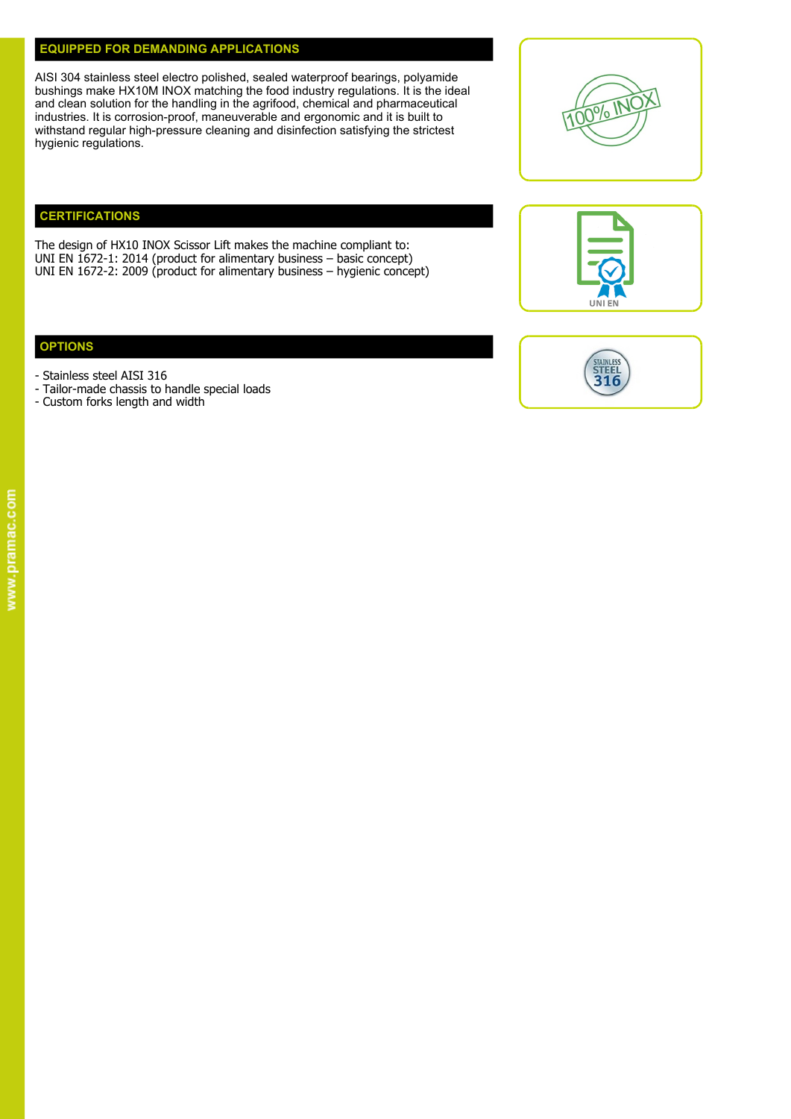#### **EQUIPPED FOR DEMANDING APPLICATIONS**

AISI 304 stainless steel electro polished, sealed waterproof bearings, polyamide bushings make HX10M INOX matching the food industry regulations. It is the ideal and clean solution for the handling in the agrifood, chemical and pharmaceutical industries. It is corrosion-proof, maneuverable and ergonomic and it is built to  $\frac{1000}{1000}$ withstand regular high-pressure cleaning and disinfection satisfying the strictest hygienic regulations.

# **CERTIFICATIONS**

The design of HX10 INOX Scissor Lift makes the machine compliant to: UNI EN 1672-1: 2014 (product for alimentary business – basic concept) UNI EN 1672-2: 2009 (product for alimentary business – hygienic concept)

### **OPTIONS**

- Stainless steel AISI 316
- Tailor-made chassis to handle special loads
- Custom forks length and width





UNI EN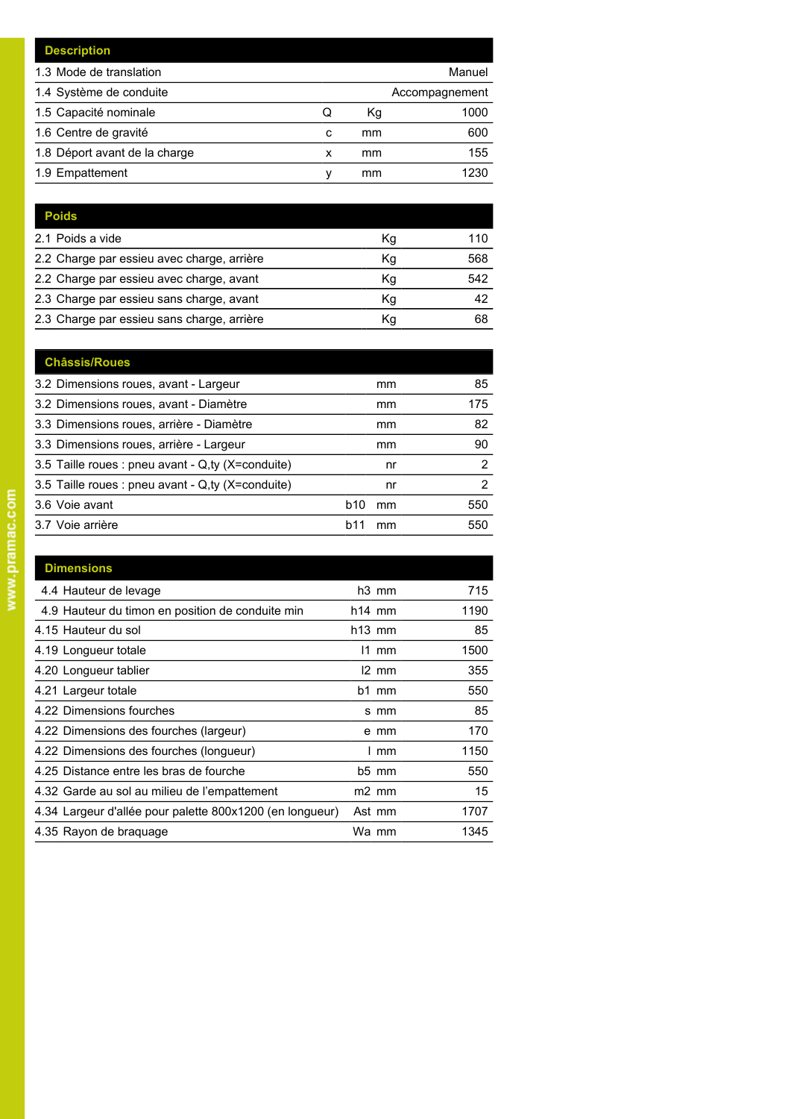| <b>Description</b>            |   |    |                |
|-------------------------------|---|----|----------------|
| 1.3 Mode de translation       |   |    | Manuel         |
| 1.4 Système de conduite       |   |    | Accompagnement |
| 1.5 Capacité nominale         | Q | Kg | 1000           |
| 1.6 Centre de gravité         | c | mm | 600            |
| 1.8 Déport avant de la charge | x | mm | 155            |
| 1.9 Empattement               | ν | mm | 1230           |

| <b>Poids</b>                               |    |     |
|--------------------------------------------|----|-----|
| 2.1 Poids a vide                           | Κq | 110 |
| 2.2 Charge par essieu avec charge, arrière | Κq | 568 |
| 2.2 Charge par essieu avec charge, avant   | Кq | 542 |
| 2.3 Charge par essieu sans charge, avant   | Κq | 42  |
| 2.3 Charge par essieu sans charge, arrière | Κg | 68  |

| <b>Châssis/Roues</b>                              |                       |     |
|---------------------------------------------------|-----------------------|-----|
| 3.2 Dimensions roues, avant - Largeur             | mm                    | 85  |
| 3.2 Dimensions roues, avant - Diamètre            | mm                    | 175 |
| 3.3 Dimensions roues, arrière - Diamètre          | mm                    | 82  |
| 3.3 Dimensions roues, arrière - Largeur           | mm                    | 90  |
| 3.5 Taille roues : pneu avant - Q,ty (X=conduite) | nr                    | 2   |
| 3.5 Taille roues : pneu avant - Q,ty (X=conduite) | nr                    | 2   |
| 3.6 Voie avant                                    | b <sub>10</sub><br>mm | 550 |
| 3.7 Voie arrière                                  | b11<br>mm             | 550 |

| <b>Dimensions</b>                                        |                   |      |
|----------------------------------------------------------|-------------------|------|
| 4.4 Hauteur de levage                                    | h <sub>3</sub> mm | 715  |
| 4.9 Hauteur du timon en position de conduite min         | $h14$ mm          | 1190 |
| 4.15 Hauteur du sol                                      | $h13$ mm          | 85   |
| 4.19 Longueur totale                                     | $11$ mm           | 1500 |
| 4.20 Longueur tablier                                    | I2 mm             | 355  |
| 4.21 Largeur totale                                      | $b1$ mm           | 550  |
| 4.22 Dimensions fourches                                 | s mm              | 85   |
| 4.22 Dimensions des fourches (largeur)                   | e mm              | 170  |
| 4.22 Dimensions des fourches (longueur)                  | mm                | 1150 |
| 4.25 Distance entre les bras de fourche                  | $b5$ mm           | 550  |
| 4.32 Garde au sol au milieu de l'empattement             | $m2$ mm           | 15   |
| 4.34 Largeur d'allée pour palette 800x1200 (en longueur) | Ast mm            | 1707 |
| 4.35 Rayon de braguage                                   | Wa mm             | 1345 |
|                                                          |                   |      |